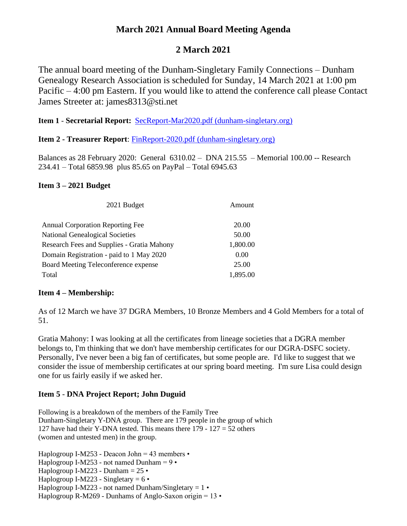## **March 2021 Annual Board Meeting Agenda**

# **2 March 2021**

The annual board meeting of the Dunham-Singletary Family Connections – Dunham Genealogy Research Association is scheduled for Sunday, 14 March 2021 at 1:00 pm Pacific – 4:00 pm Eastern. If you would like to attend the conference call please Contact James Streeter at: james8313@sti.net

**Item 1** - **Secretarial Report:** [SecReport-Mar2020.pdf \(dunham-singletary.org\)](http://www.dunham-singletary.org/mw/images/2/23/SecReport-Mar2020.pdf)

**Item 2 - Treasurer Report**: [FinReport-2020.pdf \(dunham-singletary.org\)](http://www.dunham-singletary.org/mw/images/4/4c/FinReport-2020.pdf)

Balances as 28 February 2020: General 6310.02 – DNA 215.55 – Memorial 100.00 -- Research 234.41 – Total 6859.98 plus 85.65 on PayPal – Total 6945.63

### **Item 3 – 2021 Budget**

| 2021 Budget                                | Amount   |
|--------------------------------------------|----------|
| <b>Annual Corporation Reporting Fee</b>    | 20.00    |
| <b>National Genealogical Societies</b>     | 50.00    |
| Research Fees and Supplies - Gratia Mahony | 1,800.00 |
| Domain Registration - paid to 1 May 2020   | 0.00     |
| Board Meeting Teleconference expense       | 25.00    |
| Total                                      | 1,895.00 |

### **Item 4 – Membership:**

As of 12 March we have 37 DGRA Members, 10 Bronze Members and 4 Gold Members for a total of 51.

Gratia Mahony: I was looking at all the certificates from lineage societies that a DGRA member belongs to, I'm thinking that we don't have membership certificates for our DGRA-DSFC society. Personally, I've never been a big fan of certificates, but some people are. I'd like to suggest that we consider the issue of membership certificates at our spring board meeting. I'm sure Lisa could design one for us fairly easily if we asked her.

## **Item 5** - **DNA Project Report; John Duguid**

Following is a breakdown of the members of the Family Tree Dunham-Singletary Y-DNA group. There are 179 people in the group of which 127 have had their Y-DNA tested. This means there 179 - 127 = 52 others (women and untested men) in the group.

Haplogroup I-M253 - Deacon John = 43 members • Haplogroup I-M253 - not named Dunham =  $9 \cdot$ Haplogroup I-M223 - Dunham  $= 25 \cdot$ Haplogroup I-M223 - Singletary  $= 6 \cdot$ Haplogroup I-M223 - not named Dunham/Singletary =  $1 \cdot$ Haplogroup R-M269 - Dunhams of Anglo-Saxon origin =  $13 \cdot$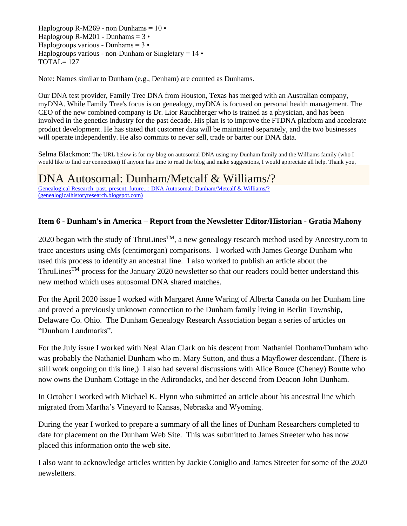Haplogroup R-M269 - non Dunhams =  $10 \cdot$ Haplogroup R-M201 - Dunhams  $= 3 \cdot$ Haplogroups various - Dunhams =  $3 \cdot$ Haplogroups various - non-Dunham or Singletary  $= 14 \cdot$ TOTAL= 127

Note: Names similar to Dunham (e.g., Denham) are counted as Dunhams.

Our DNA test provider, Family Tree DNA from Houston, Texas has merged with an Australian company, myDNA. While Family Tree's focus is on genealogy, myDNA is focused on personal health management. The CEO of the new combined company is Dr. Lior Rauchberger who is trained as a physician, and has been involved in the genetics industry for the past decade. His plan is to improve the FTDNA platform and accelerate product development. He has stated that customer data will be maintained separately, and the two businesses will operate independently. He also commits to never sell, trade or barter our DNA data.

Selma Blackmon: The URL below is for my blog on autosomal DNA using my Dunham family and the Williams family (who I would like to find our connection) If anyone has time to read the blog and make suggestions, I would appreciate all help. Thank you,

# DNA Autosomal: Dunham/Metcalf & Williams/?

[Genealogical Research: past, present, future...: DNA Autosomal: Dunham/Metcalf & Williams/?](https://genealogicalhistoryresearch.blogspot.com/2021/03/dna-autosomal-dunhammetcalf-williams.html)  [\(genealogicalhistoryresearch.blogspot.com\)](https://genealogicalhistoryresearch.blogspot.com/2021/03/dna-autosomal-dunhammetcalf-williams.html)

### **Item 6 - Dunham's in America – Report from the Newsletter Editor/Historian - Gratia Mahony**

2020 began with the study of ThruLines<sup>TM</sup>, a new genealogy research method used by Ancestry.com to trace ancestors using cMs (centimorgan) comparisons. I worked with James George Dunham who used this process to identify an ancestral line. I also worked to publish an article about the ThruLines<sup>TM</sup> process for the January 2020 newsletter so that our readers could better understand this new method which uses autosomal DNA shared matches.

For the April 2020 issue I worked with Margaret Anne Waring of Alberta Canada on her Dunham line and proved a previously unknown connection to the Dunham family living in Berlin Township, Delaware Co. Ohio. The Dunham Genealogy Research Association began a series of articles on "Dunham Landmarks".

For the July issue I worked with Neal Alan Clark on his descent from Nathaniel Donham/Dunham who was probably the Nathaniel Dunham who m. Mary Sutton, and thus a Mayflower descendant. (There is still work ongoing on this line,) I also had several discussions with Alice Bouce (Cheney) Boutte who now owns the Dunham Cottage in the Adirondacks, and her descend from Deacon John Dunham.

In October I worked with Michael K. Flynn who submitted an article about his ancestral line which migrated from Martha's Vineyard to Kansas, Nebraska and Wyoming.

During the year I worked to prepare a summary of all the lines of Dunham Researchers completed to date for placement on the Dunham Web Site. This was submitted to James Streeter who has now placed this information onto the web site.

I also want to acknowledge articles written by Jackie Coniglio and James Streeter for some of the 2020 newsletters.